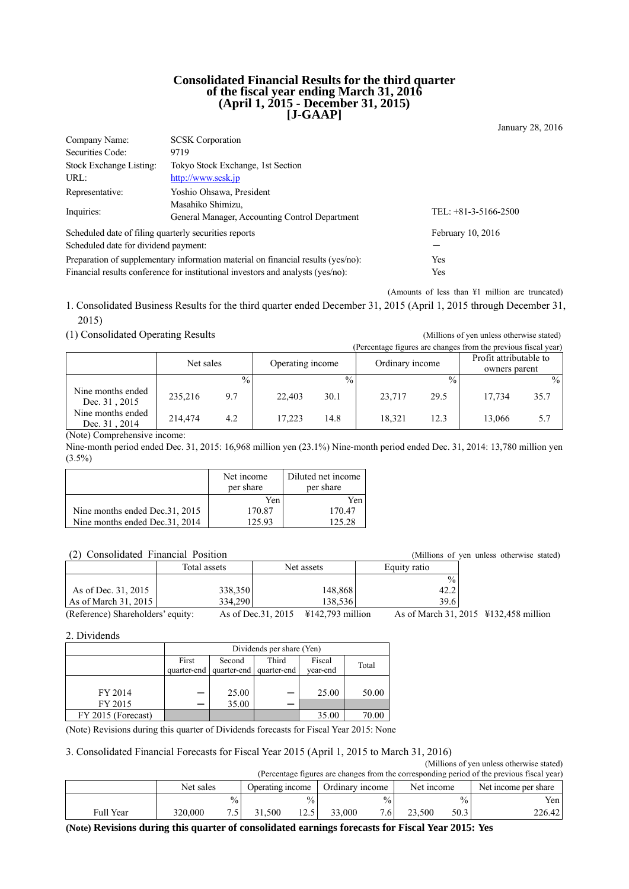#### **Consolidated Financial Results for the third quarter of the fiscal year ending March 31, 2016 (April 1, 2015 - December 31, 2015) [J-GAAP]**

January 28, 2016 Company Name: SCSK Corporation Securities Code: 9719 Stock Exchange Listing: Tokyo Stock Exchange, 1st Section URL: http://www.scsk.jp Representative: Yoshio Ohsawa, President Inquiries: Masahiko Shimizu, General Manager, Accounting Control Department TEL: +81-3-5166-2500 Scheduled date of filing quarterly securities reports February 10, 2016 Scheduled date for dividend payment:

Preparation of supplementary information material on financial results (yes/no): Yes Financial results conference for institutional investors and analysts (yes/no): Yes

(Amounts of less than ¥1 million are truncated)

1. Consolidated Business Results for the third quarter ended December 31, 2015 (April 1, 2015 through December 31, 2015)

(1) Consolidated Operating Results (Millions of yen unless otherwise stated)

(Percentage figures are changes from the previous fiscal year) Net sales Operating income Ordinary income Profit attributable to owners parent  $\frac{9}{6}$  %  $\frac{9}{6}$  %  $\frac{9}{6}$  %  $\frac{9}{6}$ Nine months ended Dec. 31, 2015 235,216 9.7 22,403 30.1 23,717 29.5 17,734 35.7 Nine months ended Dec. 31, 2014 214,474 4.2 17,223 14.8 18,321 12.3 13,066 5.7

(Note) Comprehensive income:

Nine-month period ended Dec. 31, 2015: 16,968 million yen (23.1%) Nine-month period ended Dec. 31, 2014: 13,780 million yen  $(3.5\%)$ 

|                                 | Net income<br>per share | Diluted net income<br>per share |
|---------------------------------|-------------------------|---------------------------------|
|                                 | Yen                     | Yen                             |
| Nine months ended Dec. 31, 2015 | 170.87                  | 170.47                          |
| Nine months ended Dec. 31, 2014 | 125.93                  | 125.28                          |

(2) Consolidated Financial Position (Millions of yen unless otherwise stated) Total assets Net assets Bequity ratio  $\frac{1}{\sqrt{2}}$ As of Dec. 31, 2015 2016 338,350 148,868 42.2 As of March 31, 2015 334,290 39.6 334,290

(Reference) Shareholders' equity: As of Dec.31, 2015 ¥142,793 million As of March 31, 2015 ¥132,458 million

2. Dividends

|                    | Dividends per share (Yen) |             |             |          |       |
|--------------------|---------------------------|-------------|-------------|----------|-------|
|                    | First                     | Second      | Third       | Fiscal   | Total |
|                    | quarter-end               | quarter-end | quarter-end | vear-end |       |
|                    |                           |             |             |          |       |
| FY 2014            |                           | 25.00       |             | 25.00    | 50.00 |
| FY 2015            | —                         | 35.00       |             |          |       |
| FY 2015 (Forecast) |                           |             |             | 35.00    | 70.00 |

(Note) Revisions during this quarter of Dividends forecasts for Fiscal Year 2015: None

3. Consolidated Financial Forecasts for Fiscal Year 2015 (April 1, 2015 to March 31, 2016)

|                                                                                            |           |               |                  |               |                 |               |            |               | (Millions of yen unless otherwise stated) |
|--------------------------------------------------------------------------------------------|-----------|---------------|------------------|---------------|-----------------|---------------|------------|---------------|-------------------------------------------|
| (Percentage figures are changes from the corresponding period of the previous fiscal year) |           |               |                  |               |                 |               |            |               |                                           |
|                                                                                            | Net sales |               | Operating income |               | Ordinary income |               | Net income |               | Net income per share                      |
|                                                                                            |           | $\frac{0}{0}$ |                  | $\frac{0}{0}$ |                 | $\frac{0}{0}$ |            | $\frac{0}{0}$ | Yen l                                     |
| <b>Full Year</b>                                                                           | 320,000   |               | 31.500           | 12.5          | 33,000          | 7.6           | 23.500     | 50.3          | 226.42                                    |

**(Note) Revisions during this quarter of consolidated earnings forecasts for Fiscal Year 2015: Yes**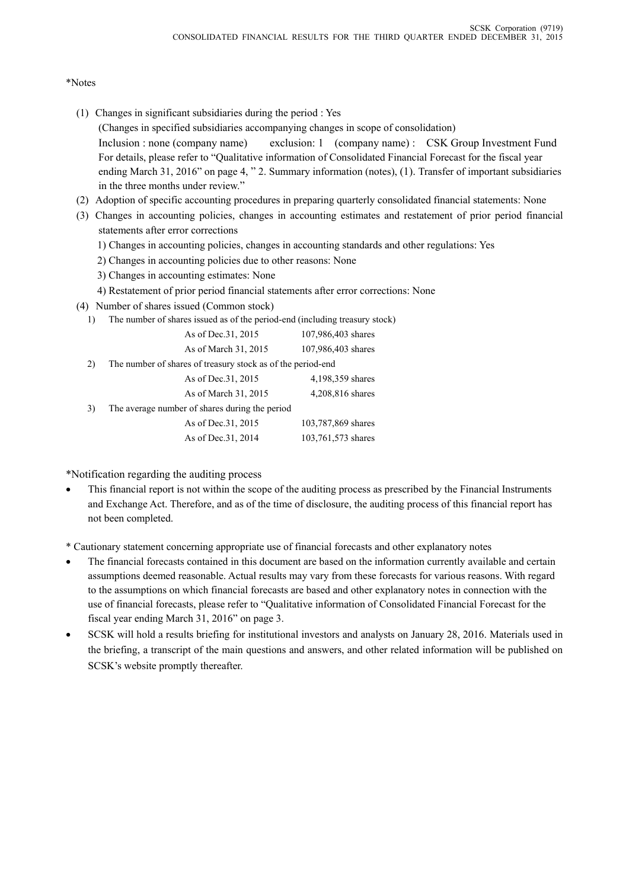# \*Notes

- (1) Changes in significant subsidiaries during the period : Yes (Changes in specified subsidiaries accompanying changes in scope of consolidation) Inclusion : none (company name) exclusion: 1 (company name) : CSK Group Investment Fund For details, please refer to "Qualitative information of Consolidated Financial Forecast for the fiscal year ending March 31, 2016" on page 4, " 2. Summary information (notes), (1). Transfer of important subsidiaries in the three months under review."
- (2) Adoption of specific accounting procedures in preparing quarterly consolidated financial statements: None
- (3) Changes in accounting policies, changes in accounting estimates and restatement of prior period financial statements after error corrections
	- 1) Changes in accounting policies, changes in accounting standards and other regulations: Yes
	- 2) Changes in accounting policies due to other reasons: None
	- 3) Changes in accounting estimates: None
	- 4) Restatement of prior period financial statements after error corrections: None
- (4) Number of shares issued (Common stock)
	- 1) The number of shares issued as of the period-end (including treasury stock)

| As of Dec. 31, 2015  | 107,986,403 shares |
|----------------------|--------------------|
| As of March 31, 2015 | 107,986,403 shares |

2) The number of shares of treasury stock as of the period-end

|    | As of Dec. 31, 2015                            | 4,198,359 shares   |
|----|------------------------------------------------|--------------------|
|    | As of March 31, 2015                           | 4,208,816 shares   |
| 3) | The average number of shares during the period |                    |
|    | As of Dec. 31, 2015                            | 103,787,869 shares |
|    | As of Dec. 31, 2014                            | 103,761,573 shares |

\*Notification regarding the auditing process

 This financial report is not within the scope of the auditing process as prescribed by the Financial Instruments and Exchange Act. Therefore, and as of the time of disclosure, the auditing process of this financial report has not been completed.

\* Cautionary statement concerning appropriate use of financial forecasts and other explanatory notes

- The financial forecasts contained in this document are based on the information currently available and certain assumptions deemed reasonable. Actual results may vary from these forecasts for various reasons. With regard to the assumptions on which financial forecasts are based and other explanatory notes in connection with the use of financial forecasts, please refer to "Qualitative information of Consolidated Financial Forecast for the fiscal year ending March 31, 2016" on page 3.
- SCSK will hold a results briefing for institutional investors and analysts on January 28, 2016. Materials used in the briefing, a transcript of the main questions and answers, and other related information will be published on SCSK's website promptly thereafter.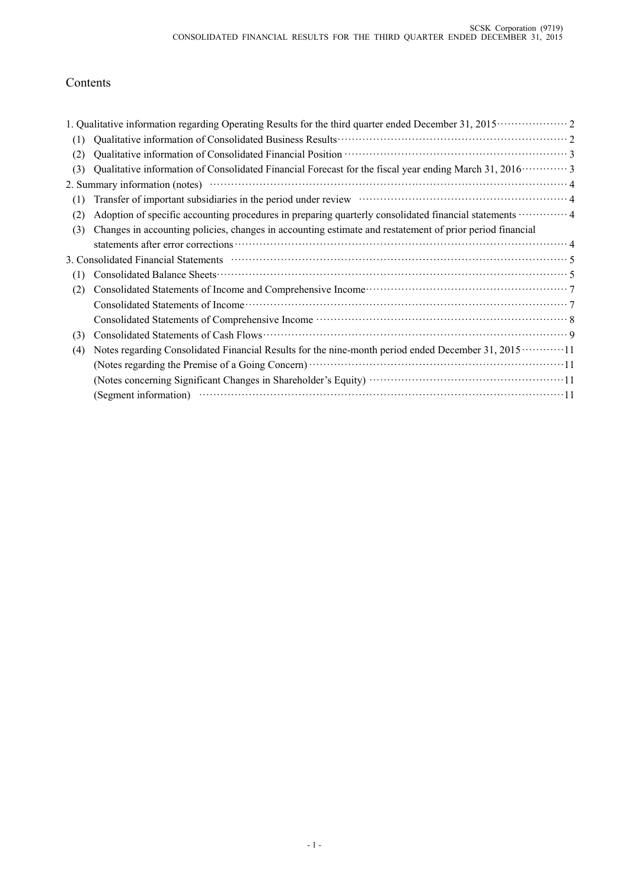# Contents

| (1) |                                                                                                                                                                                                                                        |  |
|-----|----------------------------------------------------------------------------------------------------------------------------------------------------------------------------------------------------------------------------------------|--|
| (2) |                                                                                                                                                                                                                                        |  |
| (3) | Qualitative information of Consolidated Financial Forecast for the fiscal year ending March 31, 2016 ············· 3                                                                                                                   |  |
|     | 2. Summary information (notes)                                                                                                                                                                                                         |  |
| (1) | Transfer of important subsidiaries in the period under review material contract and a 4                                                                                                                                                |  |
| (2) | Adoption of specific accounting procedures in preparing quarterly consolidated financial statements  4                                                                                                                                 |  |
| (3) | Changes in accounting policies, changes in accounting estimate and restatement of prior period financial                                                                                                                               |  |
|     |                                                                                                                                                                                                                                        |  |
|     | 3. Consolidated Financial Statements manufactured contract to the Statements of Statements of Statements and Statements of Statements and Statements of Statements and Statements of Statements and Statements and Statements          |  |
| (1) |                                                                                                                                                                                                                                        |  |
| (2) | Consolidated Statements of Income and Comprehensive Income<br>Fig. 2.1 (1997)<br>The Statements of Income and Comprehensive Income<br>Statements of Income and Comprehensive Income<br>Statements of Income and Comprehensive Income . |  |
|     |                                                                                                                                                                                                                                        |  |
|     |                                                                                                                                                                                                                                        |  |
| (3) | Consolidated Statements of Cash Flows                                                                                                                                                                                                  |  |
| (4) | Notes regarding Consolidated Financial Results for the nine-month period ended December 31, 2015 ············11                                                                                                                        |  |
|     |                                                                                                                                                                                                                                        |  |
|     |                                                                                                                                                                                                                                        |  |
|     | (Segment information) (Compared to the set of the set of the set of the set of the set of the set of the set of the set of the set of the set of the set of the set of the set of the set of the set of the set of the set of          |  |
|     |                                                                                                                                                                                                                                        |  |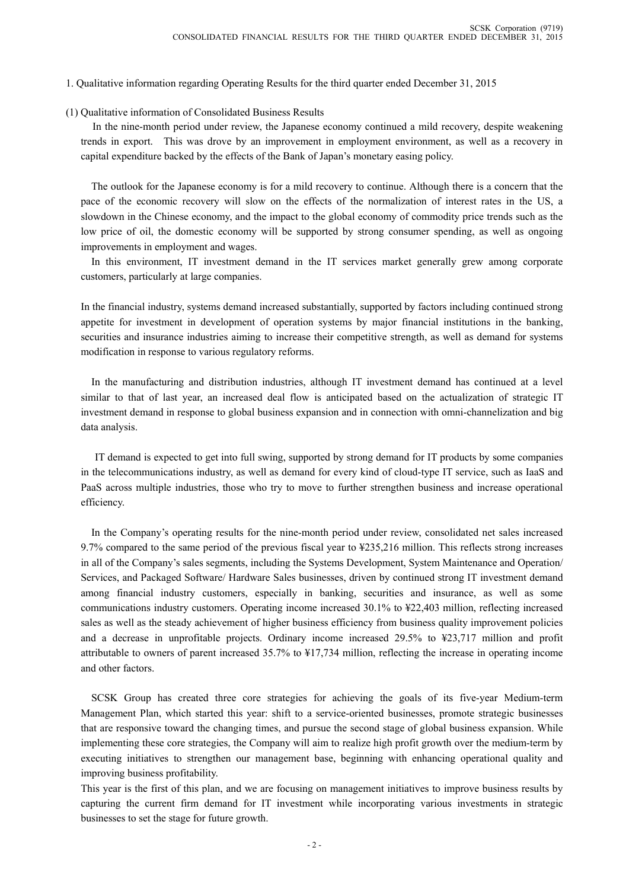#### 1. Qualitative information regarding Operating Results for the third quarter ended December 31, 2015

#### (1) Qualitative information of Consolidated Business Results

In the nine-month period under review, the Japanese economy continued a mild recovery, despite weakening trends in export. This was drove by an improvement in employment environment, as well as a recovery in capital expenditure backed by the effects of the Bank of Japan's monetary easing policy.

The outlook for the Japanese economy is for a mild recovery to continue. Although there is a concern that the pace of the economic recovery will slow on the effects of the normalization of interest rates in the US, a slowdown in the Chinese economy, and the impact to the global economy of commodity price trends such as the low price of oil, the domestic economy will be supported by strong consumer spending, as well as ongoing improvements in employment and wages.

In this environment, IT investment demand in the IT services market generally grew among corporate customers, particularly at large companies.

In the financial industry, systems demand increased substantially, supported by factors including continued strong appetite for investment in development of operation systems by major financial institutions in the banking, securities and insurance industries aiming to increase their competitive strength, as well as demand for systems modification in response to various regulatory reforms.

In the manufacturing and distribution industries, although IT investment demand has continued at a level similar to that of last year, an increased deal flow is anticipated based on the actualization of strategic IT investment demand in response to global business expansion and in connection with omni-channelization and big data analysis.

IT demand is expected to get into full swing, supported by strong demand for IT products by some companies in the telecommunications industry, as well as demand for every kind of cloud-type IT service, such as IaaS and PaaS across multiple industries, those who try to move to further strengthen business and increase operational efficiency.

In the Company's operating results for the nine-month period under review, consolidated net sales increased 9.7% compared to the same period of the previous fiscal year to ¥235,216 million. This reflects strong increases in all of the Company's sales segments, including the Systems Development, System Maintenance and Operation/ Services, and Packaged Software/ Hardware Sales businesses, driven by continued strong IT investment demand among financial industry customers, especially in banking, securities and insurance, as well as some communications industry customers. Operating income increased 30.1% to ¥22,403 million, reflecting increased sales as well as the steady achievement of higher business efficiency from business quality improvement policies and a decrease in unprofitable projects. Ordinary income increased 29.5% to ¥23,717 million and profit attributable to owners of parent increased 35.7% to ¥17,734 million, reflecting the increase in operating income and other factors.

SCSK Group has created three core strategies for achieving the goals of its five-year Medium-term Management Plan, which started this year: shift to a service-oriented businesses, promote strategic businesses that are responsive toward the changing times, and pursue the second stage of global business expansion. While implementing these core strategies, the Company will aim to realize high profit growth over the medium-term by executing initiatives to strengthen our management base, beginning with enhancing operational quality and improving business profitability.

This year is the first of this plan, and we are focusing on management initiatives to improve business results by capturing the current firm demand for IT investment while incorporating various investments in strategic businesses to set the stage for future growth.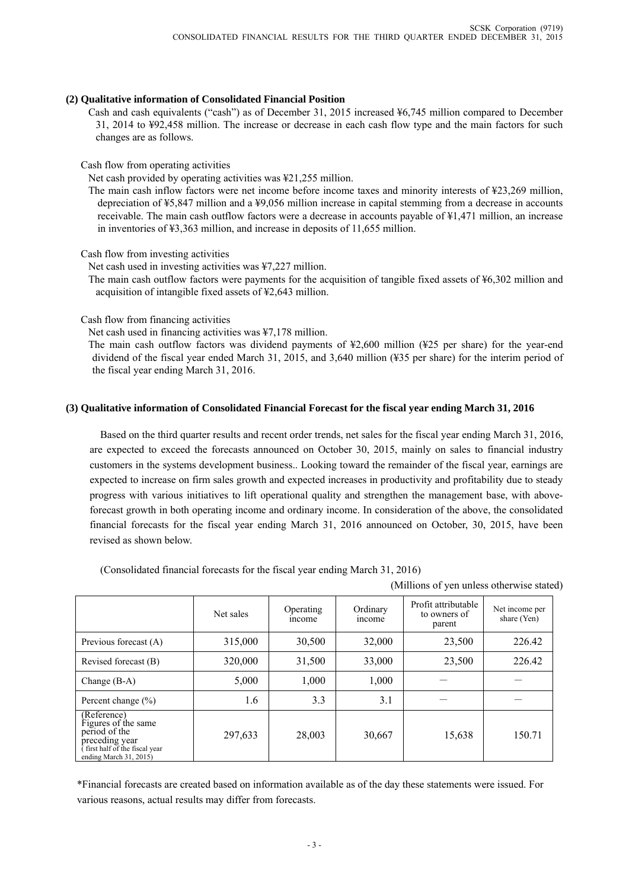#### **(2) Qualitative information of Consolidated Financial Position**

Cash and cash equivalents ("cash") as of December 31, 2015 increased ¥6,745 million compared to December 31, 2014 to ¥92,458 million. The increase or decrease in each cash flow type and the main factors for such changes are as follows.

Cash flow from operating activities

Net cash provided by operating activities was ¥21,255 million.

The main cash inflow factors were net income before income taxes and minority interests of ¥23,269 million, depreciation of ¥5,847 million and a ¥9,056 million increase in capital stemming from a decrease in accounts receivable. The main cash outflow factors were a decrease in accounts payable of ¥1,471 million, an increase in inventories of ¥3,363 million, and increase in deposits of 11,655 million.

Cash flow from investing activities

Net cash used in investing activities was ¥7,227 million.

The main cash outflow factors were payments for the acquisition of tangible fixed assets of ¥6,302 million and acquisition of intangible fixed assets of ¥2,643 million.

Cash flow from financing activities

Net cash used in financing activities was ¥7,178 million.

The main cash outflow factors was dividend payments of ¥2,600 million (¥25 per share) for the year-end dividend of the fiscal year ended March 31, 2015, and 3,640 million (¥35 per share) for the interim period of the fiscal year ending March 31, 2016.

# **(3) Qualitative information of Consolidated Financial Forecast for the fiscal year ending March 31, 2016**

Based on the third quarter results and recent order trends, net sales for the fiscal year ending March 31, 2016, are expected to exceed the forecasts announced on October 30, 2015, mainly on sales to financial industry customers in the systems development business.. Looking toward the remainder of the fiscal year, earnings are expected to increase on firm sales growth and expected increases in productivity and profitability due to steady progress with various initiatives to lift operational quality and strengthen the management base, with aboveforecast growth in both operating income and ordinary income. In consideration of the above, the consolidated financial forecasts for the fiscal year ending March 31, 2016 announced on October, 30, 2015, have been revised as shown below.

(Consolidated financial forecasts for the fiscal year ending March 31, 2016)

(Millions of yen unless otherwise stated)

|                                                                                                                                  | Net sales | Operating<br>income | Ordinary<br>income | Profit attributable<br>to owners of<br>parent | Net income per<br>share (Yen) |
|----------------------------------------------------------------------------------------------------------------------------------|-----------|---------------------|--------------------|-----------------------------------------------|-------------------------------|
| Previous forecast (A)                                                                                                            | 315,000   | 30,500              | 32,000             | 23,500                                        | 226.42                        |
| Revised forecast (B)                                                                                                             | 320,000   | 31,500              | 33,000             | 23,500                                        | 226.42                        |
| Change $(B-A)$                                                                                                                   | 5,000     | 1,000               | 1,000              |                                               |                               |
| Percent change $(\% )$                                                                                                           | 1.6       | 3.3                 | 3.1                |                                               |                               |
| (Reference)<br>Figures of the same<br>period of the<br>preceding year<br>first half of the fiscal year<br>ending March 31, 2015) | 297,633   | 28,003              | 30,667             | 15,638                                        | 150.71                        |

\*Financial forecasts are created based on information available as of the day these statements were issued. For various reasons, actual results may differ from forecasts.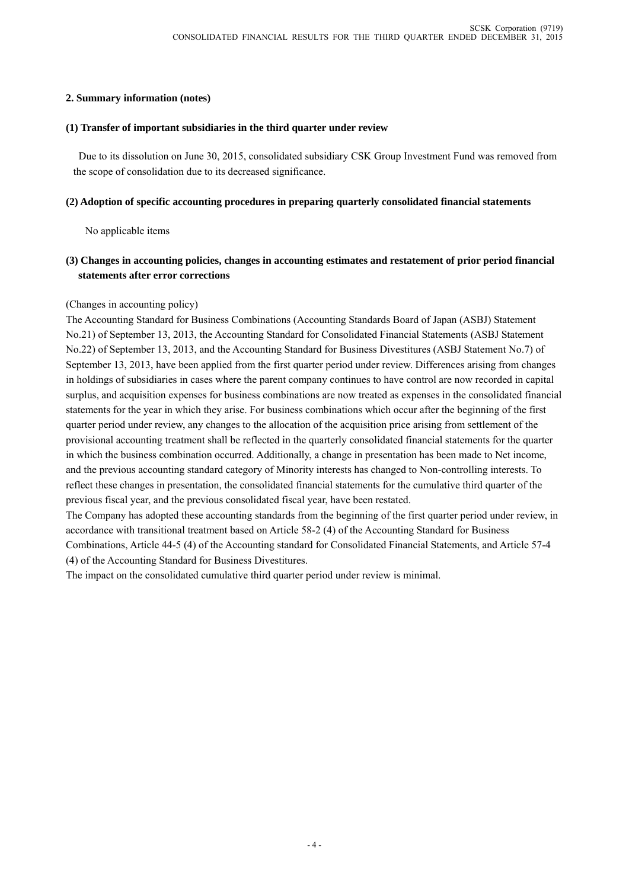## **2. Summary information (notes)**

#### **(1) Transfer of important subsidiaries in the third quarter under review**

Due to its dissolution on June 30, 2015, consolidated subsidiary CSK Group Investment Fund was removed from the scope of consolidation due to its decreased significance.

#### **(2) Adoption of specific accounting procedures in preparing quarterly consolidated financial statements**

No applicable items

# **(3) Changes in accounting policies, changes in accounting estimates and restatement of prior period financial statements after error corrections**

### (Changes in accounting policy)

The Accounting Standard for Business Combinations (Accounting Standards Board of Japan (ASBJ) Statement No.21) of September 13, 2013, the Accounting Standard for Consolidated Financial Statements (ASBJ Statement No.22) of September 13, 2013, and the Accounting Standard for Business Divestitures (ASBJ Statement No.7) of September 13, 2013, have been applied from the first quarter period under review. Differences arising from changes in holdings of subsidiaries in cases where the parent company continues to have control are now recorded in capital surplus, and acquisition expenses for business combinations are now treated as expenses in the consolidated financial statements for the year in which they arise. For business combinations which occur after the beginning of the first quarter period under review, any changes to the allocation of the acquisition price arising from settlement of the provisional accounting treatment shall be reflected in the quarterly consolidated financial statements for the quarter in which the business combination occurred. Additionally, a change in presentation has been made to Net income, and the previous accounting standard category of Minority interests has changed to Non-controlling interests. To reflect these changes in presentation, the consolidated financial statements for the cumulative third quarter of the previous fiscal year, and the previous consolidated fiscal year, have been restated.

The Company has adopted these accounting standards from the beginning of the first quarter period under review, in accordance with transitional treatment based on Article 58-2 (4) of the Accounting Standard for Business Combinations, Article 44-5 (4) of the Accounting standard for Consolidated Financial Statements, and Article 57-4 (4) of the Accounting Standard for Business Divestitures.

The impact on the consolidated cumulative third quarter period under review is minimal.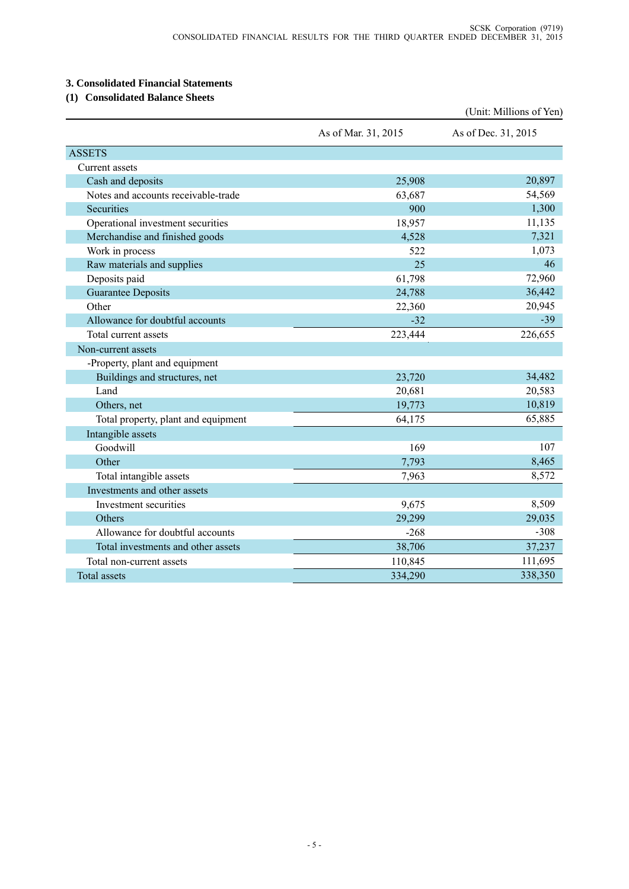# **3. Consolidated Financial Statements**

# **(1) Consolidated Balance Sheets**

|                                     |                     | (Unit: Millions of Yen) |
|-------------------------------------|---------------------|-------------------------|
|                                     | As of Mar. 31, 2015 | As of Dec. 31, 2015     |
| <b>ASSETS</b>                       |                     |                         |
| Current assets                      |                     |                         |
| Cash and deposits                   | 25,908              | 20,897                  |
| Notes and accounts receivable-trade | 63,687              | 54,569                  |
| Securities                          | 900                 | 1,300                   |
| Operational investment securities   | 18,957              | 11,135                  |
| Merchandise and finished goods      | 4,528               | 7,321                   |
| Work in process                     | 522                 | 1,073                   |
| Raw materials and supplies          | 25                  | 46                      |
| Deposits paid                       | 61,798              | 72,960                  |
| <b>Guarantee Deposits</b>           | 24,788              | 36,442                  |
| Other                               | 22,360              | 20,945                  |
| Allowance for doubtful accounts     | $-32$               | $-39$                   |
| Total current assets                | 223,444             | 226,655                 |
| Non-current assets                  |                     |                         |
| -Property, plant and equipment      |                     |                         |
| Buildings and structures, net       | 23,720              | 34,482                  |
| Land                                | 20,681              | 20,583                  |
| Others, net                         | 19,773              | 10,819                  |
| Total property, plant and equipment | 64,175              | 65,885                  |
| Intangible assets                   |                     |                         |
| Goodwill                            | 169                 | 107                     |
| Other                               | 7,793               | 8,465                   |
| Total intangible assets             | 7,963               | 8,572                   |
| Investments and other assets        |                     |                         |
| Investment securities               | 9,675               | 8,509                   |
| Others                              | 29,299              | 29,035                  |
| Allowance for doubtful accounts     | $-268$              | $-308$                  |
| Total investments and other assets  | 38,706              | 37,237                  |
| Total non-current assets            | 110,845             | 111,695                 |
| <b>Total assets</b>                 | 334,290             | 338,350                 |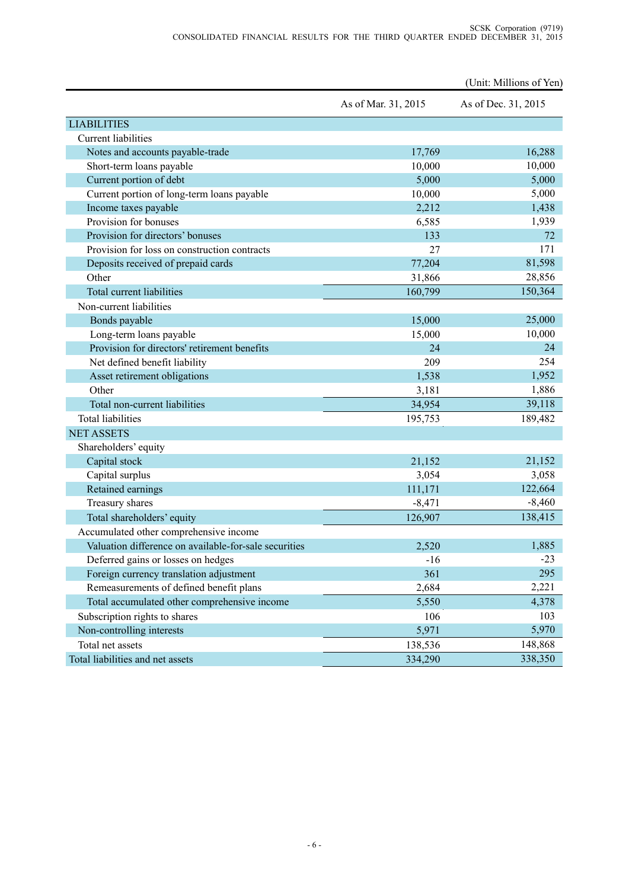|                                                       |                     | (Unit: Millions of Yen) |
|-------------------------------------------------------|---------------------|-------------------------|
|                                                       | As of Mar. 31, 2015 | As of Dec. 31, 2015     |
| <b>LIABILITIES</b>                                    |                     |                         |
| <b>Current liabilities</b>                            |                     |                         |
| Notes and accounts payable-trade                      | 17,769              | 16,288                  |
| Short-term loans payable                              | 10,000              | 10,000                  |
| Current portion of debt                               | 5,000               | 5,000                   |
| Current portion of long-term loans payable            | 10,000              | 5,000                   |
| Income taxes payable                                  | 2,212               | 1,438                   |
| Provision for bonuses                                 | 6,585               | 1,939                   |
| Provision for directors' bonuses                      | 133                 | 72                      |
| Provision for loss on construction contracts          | 27                  | 171                     |
| Deposits received of prepaid cards                    | 77,204              | 81,598                  |
| Other                                                 | 31,866              | 28,856                  |
| Total current liabilities                             | 160,799             | 150,364                 |
| Non-current liabilities                               |                     |                         |
| Bonds payable                                         | 15,000              | 25,000                  |
| Long-term loans payable                               | 15,000              | 10,000                  |
| Provision for directors' retirement benefits          | 24                  | 24                      |
| Net defined benefit liability                         | 209                 | 254                     |
| Asset retirement obligations                          | 1,538               | 1,952                   |
| Other                                                 | 3,181               | 1,886                   |
| Total non-current liabilities                         | 34,954              | 39,118                  |
| <b>Total liabilities</b>                              | 195,753             | 189,482                 |
| <b>NET ASSETS</b>                                     |                     |                         |
| Shareholders' equity                                  |                     |                         |
| Capital stock                                         | 21,152              | 21,152                  |
| Capital surplus                                       | 3,054               | 3,058                   |
| Retained earnings                                     | 111,171             | 122,664                 |
| Treasury shares                                       | $-8,471$            | $-8,460$                |
| Total shareholders' equity                            | 126,907             | 138,415                 |
| Accumulated other comprehensive income                |                     |                         |
| Valuation difference on available-for-sale securities | 2,520               | 1,885                   |
| Deferred gains or losses on hedges                    | $-16$               | $-23$                   |
| Foreign currency translation adjustment               | 361                 | 295                     |
| Remeasurements of defined benefit plans               | 2,684               | 2,221                   |
| Total accumulated other comprehensive income          | 5,550               | 4,378                   |
| Subscription rights to shares                         | 106                 | 103                     |
| Non-controlling interests                             | 5,971               | 5,970                   |
| Total net assets                                      | 138,536             | 148,868                 |
| Total liabilities and net assets                      | 334,290             | 338,350                 |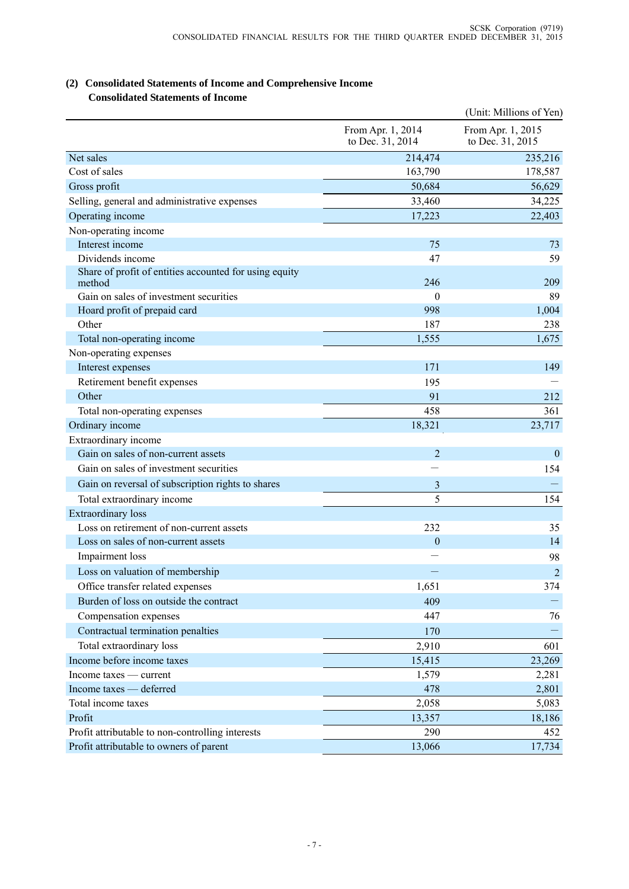# (Unit: Millions of Yen) From Apr. 1, 2014 to Dec. 31, 2014 From Apr. 1, 2015 to Dec. 31, 2015 Net sales 235,216 235,216 235,216 235,216 235,216 236,216 236,216 236,216 236,216 236,216 236,216 236,216 236, Cost of sales 163,790 178,587 Gross profit 50,684 56,629 Selling, general and administrative expenses 33,460 34,225 Operating income 22,403 Non-operating income Interest income 75 73 Dividends income 59 Share of profit of entities accounted for using equity method  $246$  209 Gain on sales of investment securities  $\qquad \qquad 0 \qquad \qquad 89$ Hoard profit of prepaid card 1,004 Other 187 238 Total non-operating income 1,555 1,675 1,675 Non-operating expenses Interest expenses 171 149 Retirement benefit expenses and the settlement benefit expenses and the settlement benefit expenses and the set of  $\sim$ Other  $91$  212 Total non-operating expenses 361 Ordinary income 23,717 23,717 Extraordinary income Gain on sales of non-current assets 2 0 Gain on sales of investment securities  $\overline{154}$ Gain on reversal of subscription rights to shares 3 - Total extraordinary income 5 154 Extraordinary loss Loss on retirement of non-current assets 232 35 Loss on sales of non-current assets 0 14 Impairment loss and the set of the set of the set of the set of the set of the set of the set of the set of the set of the set of the set of the set of the set of the set of the set of the set of the set of the set of the Loss on valuation of membership  $\sim$  2 Office transfer related expenses and the set of the set of the set of the set of the set of the set of the set of the set of the set of the set of the set of the set of the set of the set of the set of the set of the set o Burden of loss on outside the contract  $409 -$ Compensation expenses 2447 26 Contractual termination penalties 170 - Total extraordinary loss 601 Income before income taxes 15,415 23,269 Income taxes — current 2,281 Income taxes — deferred 2,801 Total income taxes 5,083 Profit 2008 13,357 18,186 Profit attributable to non-controlling interests 290 290 452 Profit attributable to owners of parent 13,066 17,734

# **(2) Consolidated Statements of Income and Comprehensive Income Consolidated Statements of Income**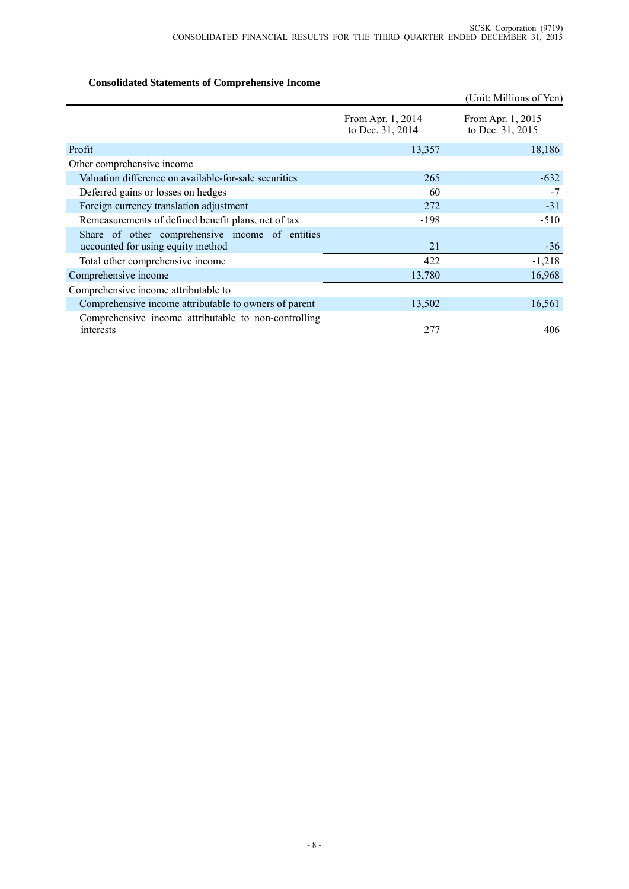# **Consolidated Statements of Comprehensive Income**

|                                                                                      |                                       | (Unit: Millions of Yen)               |
|--------------------------------------------------------------------------------------|---------------------------------------|---------------------------------------|
|                                                                                      | From Apr. 1, 2014<br>to Dec. 31, 2014 | From Apr. 1, 2015<br>to Dec. 31, 2015 |
| Profit                                                                               | 13,357                                | 18,186                                |
| Other comprehensive income                                                           |                                       |                                       |
| Valuation difference on available-for-sale securities                                | 265                                   | $-632$                                |
| Deferred gains or losses on hedges                                                   | 60                                    | $-7$                                  |
| Foreign currency translation adjustment                                              | 272                                   | $-31$                                 |
| Remeasurements of defined benefit plans, net of tax                                  | $-198$                                | $-510$                                |
| Share of other comprehensive income of entities<br>accounted for using equity method | 21                                    | $-36$                                 |
| Total other comprehensive income                                                     | 422                                   | $-1,218$                              |
| Comprehensive income                                                                 | 13,780                                | 16,968                                |
| Comprehensive income attributable to                                                 |                                       |                                       |
| Comprehensive income attributable to owners of parent                                | 13,502                                | 16,561                                |
| Comprehensive income attributable to non-controlling<br>interests                    | 277                                   | 406                                   |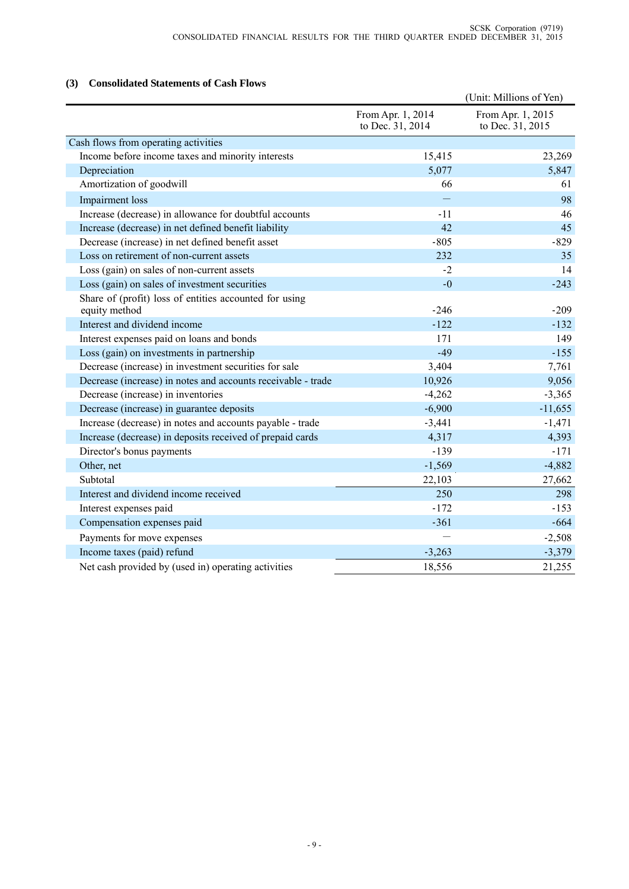# **(3) Consolidated Statements of Cash Flows**

|                                                              |                                       | (Unit: Millions of Yen)               |
|--------------------------------------------------------------|---------------------------------------|---------------------------------------|
|                                                              | From Apr. 1, 2014<br>to Dec. 31, 2014 | From Apr. 1, 2015<br>to Dec. 31, 2015 |
| Cash flows from operating activities                         |                                       |                                       |
| Income before income taxes and minority interests            | 15,415                                | 23,269                                |
| Depreciation                                                 | 5,077                                 | 5,847                                 |
| Amortization of goodwill                                     | 66                                    | 61                                    |
| Impairment loss                                              |                                       | 98                                    |
| Increase (decrease) in allowance for doubtful accounts       | $-11$                                 | 46                                    |
| Increase (decrease) in net defined benefit liability         | 42                                    | 45                                    |
| Decrease (increase) in net defined benefit asset             | $-805$                                | $-829$                                |
| Loss on retirement of non-current assets                     | 232                                   | 35                                    |
| Loss (gain) on sales of non-current assets                   | $-2$                                  | 14                                    |
| Loss (gain) on sales of investment securities                | $-0$                                  | $-243$                                |
| Share of (profit) loss of entities accounted for using       |                                       |                                       |
| equity method                                                | $-246$                                | $-209$                                |
| Interest and dividend income                                 | $-122$                                | $-132$                                |
| Interest expenses paid on loans and bonds                    | 171                                   | 149                                   |
| Loss (gain) on investments in partnership                    | $-49$                                 | $-155$                                |
| Decrease (increase) in investment securities for sale        | 3,404                                 | 7,761                                 |
| Decrease (increase) in notes and accounts receivable - trade | 10,926                                | 9,056                                 |
| Decrease (increase) in inventories                           | $-4,262$                              | $-3,365$                              |
| Decrease (increase) in guarantee deposits                    | $-6,900$                              | $-11,655$                             |
| Increase (decrease) in notes and accounts payable - trade    | $-3,441$                              | $-1,471$                              |
| Increase (decrease) in deposits received of prepaid cards    | 4,317                                 | 4,393                                 |
| Director's bonus payments                                    | $-139$                                | $-171$                                |
| Other, net                                                   | $-1,569$                              | $-4,882$                              |
| Subtotal                                                     | 22,103                                | 27,662                                |
| Interest and dividend income received                        | 250                                   | 298                                   |
| Interest expenses paid                                       | $-172$                                | $-153$                                |
| Compensation expenses paid                                   | $-361$                                | $-664$                                |
| Payments for move expenses                                   |                                       | $-2,508$                              |
| Income taxes (paid) refund                                   | $-3,263$                              | $-3,379$                              |
| Net cash provided by (used in) operating activities          | 18,556                                | 21,255                                |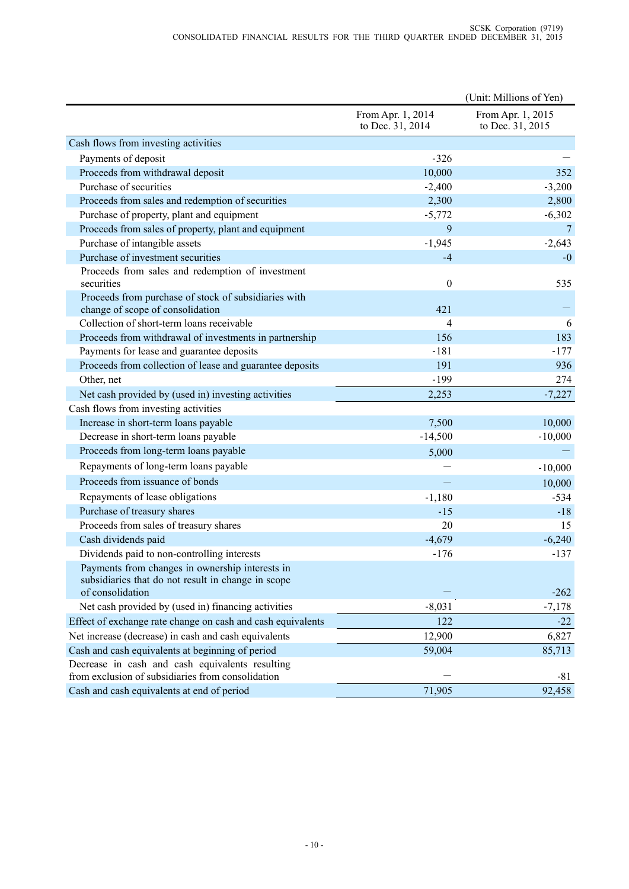|                                                                                                       |                                       | (Unit: Millions of Yen)               |
|-------------------------------------------------------------------------------------------------------|---------------------------------------|---------------------------------------|
|                                                                                                       | From Apr. 1, 2014<br>to Dec. 31, 2014 | From Apr. 1, 2015<br>to Dec. 31, 2015 |
| Cash flows from investing activities                                                                  |                                       |                                       |
| Payments of deposit                                                                                   | $-326$                                |                                       |
| Proceeds from withdrawal deposit                                                                      | 10,000                                | 352                                   |
| Purchase of securities                                                                                | $-2,400$                              | $-3,200$                              |
| Proceeds from sales and redemption of securities                                                      | 2,300                                 | 2,800                                 |
| Purchase of property, plant and equipment                                                             | $-5,772$                              | $-6,302$                              |
| Proceeds from sales of property, plant and equipment                                                  | 9                                     | 7                                     |
| Purchase of intangible assets                                                                         | $-1,945$                              | $-2,643$                              |
| Purchase of investment securities                                                                     | $-4$                                  | $-0$                                  |
| Proceeds from sales and redemption of investment<br>securities                                        | $\boldsymbol{0}$                      | 535                                   |
| Proceeds from purchase of stock of subsidiaries with                                                  |                                       |                                       |
| change of scope of consolidation                                                                      | 421                                   |                                       |
| Collection of short-term loans receivable                                                             | $\overline{4}$                        | 6                                     |
| Proceeds from withdrawal of investments in partnership                                                | 156                                   | 183                                   |
| Payments for lease and guarantee deposits                                                             | $-181$                                | $-177$                                |
| Proceeds from collection of lease and guarantee deposits                                              | 191                                   | 936                                   |
| Other, net                                                                                            | $-199$                                | 274                                   |
| Net cash provided by (used in) investing activities                                                   | 2,253                                 | $-7,227$                              |
| Cash flows from investing activities                                                                  |                                       |                                       |
| Increase in short-term loans payable                                                                  | 7,500                                 | 10,000                                |
| Decrease in short-term loans payable                                                                  | $-14,500$                             | $-10,000$                             |
| Proceeds from long-term loans payable                                                                 | 5,000                                 |                                       |
| Repayments of long-term loans payable                                                                 |                                       | $-10,000$                             |
| Proceeds from issuance of bonds                                                                       |                                       | 10,000                                |
| Repayments of lease obligations                                                                       | $-1,180$                              | $-534$                                |
| Purchase of treasury shares                                                                           | $-15$                                 | $-18$                                 |
| Proceeds from sales of treasury shares                                                                | 20                                    | 15                                    |
| Cash dividends paid                                                                                   | $-4,679$                              | $-6,240$                              |
| Dividends paid to non-controlling interests                                                           | $-176$                                | $-137$                                |
| Payments from changes in ownership interests in<br>subsidiaries that do not result in change in scope |                                       |                                       |
| of consolidation                                                                                      |                                       | $-262$                                |
| Net cash provided by (used in) financing activities                                                   | $-8,031$                              | $-7,178$                              |
| Effect of exchange rate change on cash and cash equivalents                                           | 122                                   | $-22$                                 |
| Net increase (decrease) in cash and cash equivalents                                                  | 12,900                                | 6,827                                 |
| Cash and cash equivalents at beginning of period                                                      | 59,004                                | 85,713                                |
| Decrease in cash and cash equivalents resulting<br>from exclusion of subsidiaries from consolidation  |                                       | -81                                   |
| Cash and cash equivalents at end of period                                                            | 71,905                                | 92,458                                |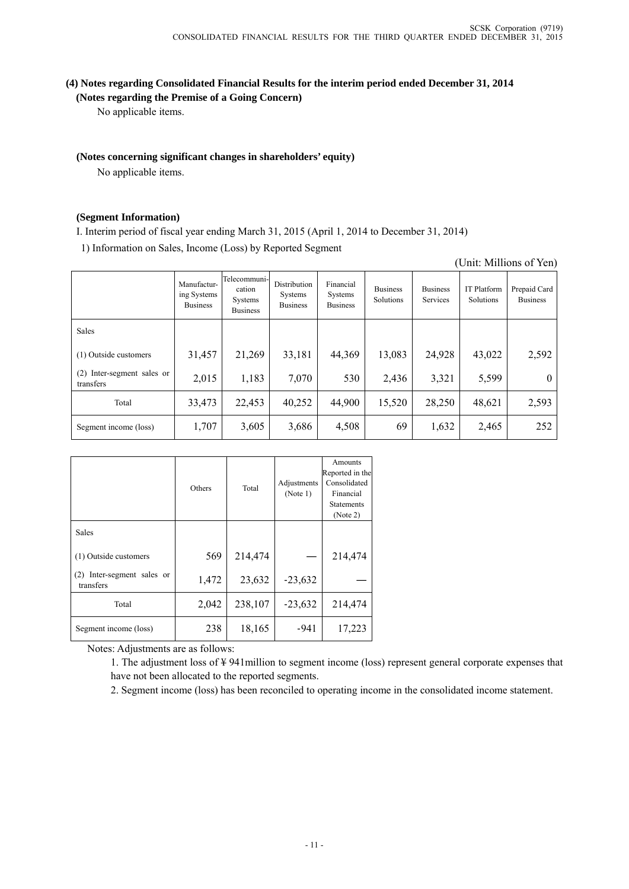# **(4) Notes regarding Consolidated Financial Results for the interim period ended December 31, 2014 (Notes regarding the Premise of a Going Concern)**

No applicable items.

# **(Notes concerning significant changes in shareholders' equity)**

No applicable items.

#### **(Segment Information)**

I. Interim period of fiscal year ending March 31, 2015 (April 1, 2014 to December 31, 2014)

1) Information on Sales, Income (Loss) by Reported Segment

|                                         |                                               |                                                              |                                            |                                         |                              |                                    |                                 | $\frac{1}{2}$                   |
|-----------------------------------------|-----------------------------------------------|--------------------------------------------------------------|--------------------------------------------|-----------------------------------------|------------------------------|------------------------------------|---------------------------------|---------------------------------|
|                                         | Manufactur-<br>ing Systems<br><b>Business</b> | Telecommuni-l<br>cation<br><b>Systems</b><br><b>Business</b> | Distribution<br>Systems<br><b>Business</b> | Financial<br>Systems<br><b>Business</b> | <b>Business</b><br>Solutions | <b>Business</b><br><b>Services</b> | <b>IT Platform</b><br>Solutions | Prepaid Card<br><b>Business</b> |
| Sales                                   |                                               |                                                              |                                            |                                         |                              |                                    |                                 |                                 |
| (1) Outside customers                   | 31,457                                        | 21,269                                                       | 33,181                                     | 44,369                                  | 13,083                       | 24,928                             | 43,022                          | 2,592                           |
| (2) Inter-segment sales or<br>transfers | 2,015                                         | 1,183                                                        | 7,070                                      | 530                                     | 2,436                        | 3,321                              | 5,599                           | $\theta$                        |
| Total                                   | 33,473                                        | 22,453                                                       | 40,252                                     | 44,900                                  | 15,520                       | 28,250                             | 48,621                          | 2,593                           |
| Segment income (loss)                   | 1,707                                         | 3,605                                                        | 3,686                                      | 4,508                                   | 69                           | 1,632                              | 2,465                           | 252                             |

|                                            | Others | Total   | Adjustments<br>(Note 1) | Amounts<br>Reported in the<br>Consolidated<br>Financial<br><b>Statements</b><br>(Note 2) |
|--------------------------------------------|--------|---------|-------------------------|------------------------------------------------------------------------------------------|
| <b>Sales</b>                               |        |         |                         |                                                                                          |
| (1) Outside customers                      | 569    | 214,474 |                         | 214,474                                                                                  |
| Inter-segment sales or<br>(2)<br>transfers | 1,472  | 23,632  | $-23,632$               |                                                                                          |
| Total                                      | 2,042  | 238,107 | $-23,632$               | 214,474                                                                                  |
| Segment income (loss)                      | 238    | 18,165  | $-941$                  | 17,223                                                                                   |

Notes: Adjustments are as follows:

1. The adjustment loss of ¥ 941million to segment income (loss) represent general corporate expenses that have not been allocated to the reported segments.

2. Segment income (loss) has been reconciled to operating income in the consolidated income statement.

(Unit: Millions of Yen)